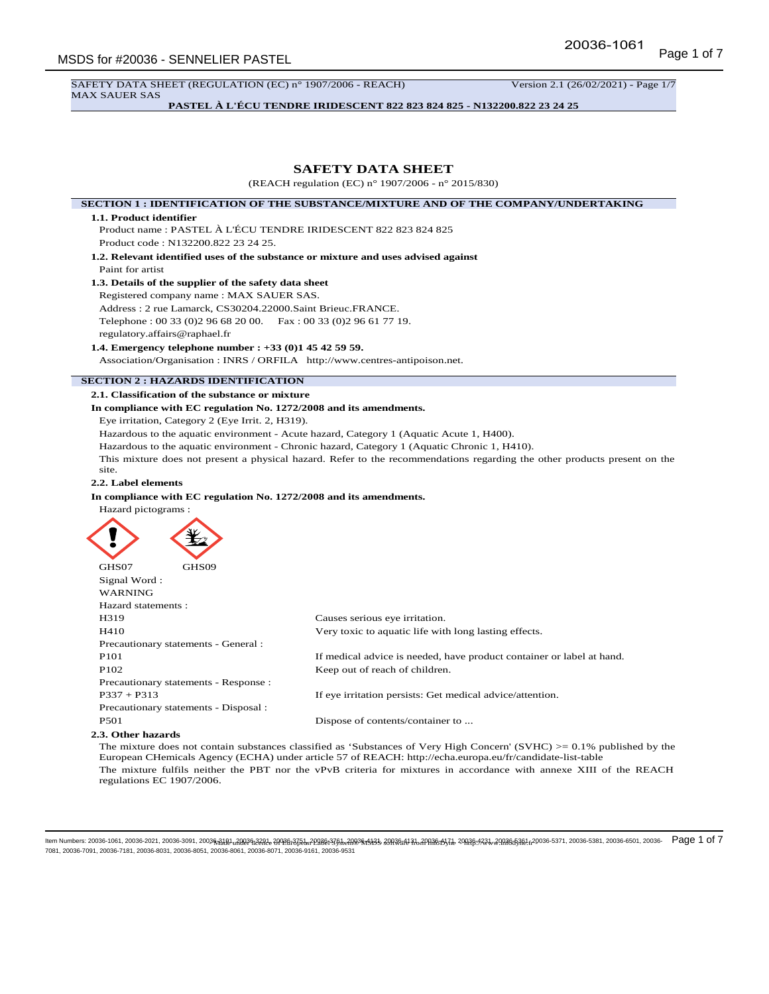SAFETY DATA SHEET (REGULATION (EC) n° 1907/2006 - REACH) Version 2.1 (26/02/2021) - Page 1/7 MAX SAUER SAS

**PASTEL À L'ÉCU TENDRE IRIDESCENT 822 823 824 825 - N132200.822 23 24 25**

# **SAFETY DATA SHEET**

(REACH regulation (EC) n° 1907/2006 - n° 2015/830)

#### **SECTION 1 : IDENTIFICATION OF THE SUBSTANCE/MIXTURE AND OF THE COMPANY/UNDERTAKING**

#### **1.1. Product identifier**

Product name : PASTEL À L'ÉCU TENDRE IRIDESCENT 822 823 824 825 Product code : N132200.822 23 24 25.

**1.2. Relevant identified uses of the substance or mixture and uses advised against** Paint for artist

# **1.3. Details of the supplier of the safety data sheet**

Registered company name : MAX SAUER SAS.

Address : 2 rue Lamarck, CS30204.22000.Saint Brieuc.FRANCE. Telephone : 00 33 (0)2 96 68 20 00. Fax : 00 33 (0)2 96 61 77 19.

regulatory.affairs@raphael.fr

### **1.4. Emergency telephone number : +33 (0)1 45 42 59 59.**

Association/Organisation : INRS / ORFILA http://www.centres-antipoison.net.

# **SECTION 2 : HAZARDS IDENTIFICATION**

#### **2.1. Classification of the substance or mixture**

**In compliance with EC regulation No. 1272/2008 and its amendments.**

Eye irritation, Category 2 (Eye Irrit. 2, H319).

Hazardous to the aquatic environment - Acute hazard, Category 1 (Aquatic Acute 1, H400).

Hazardous to the aquatic environment - Chronic hazard, Category 1 (Aquatic Chronic 1, H410).

This mixture does not present a physical hazard. Refer to the recommendations regarding the other products present on the site.

### **2.2. Label elements**

### **In compliance with EC regulation No. 1272/2008 and its amendments.**

Hazard pictograms :



| GHS07               | GHS09                                 |                                                                       |
|---------------------|---------------------------------------|-----------------------------------------------------------------------|
| Signal Word:        |                                       |                                                                       |
| <b>WARNING</b>      |                                       |                                                                       |
| Hazard statements : |                                       |                                                                       |
| H319                |                                       | Causes serious eye irritation.                                        |
| H410                |                                       | Very toxic to aquatic life with long lasting effects.                 |
|                     | Precautionary statements - General :  |                                                                       |
| P <sub>101</sub>    |                                       | If medical advice is needed, have product container or label at hand. |
| P <sub>102</sub>    |                                       | Keep out of reach of children.                                        |
|                     | Precautionary statements - Response : |                                                                       |
| $P337 + P313$       |                                       | If eye irritation persists: Get medical advice/attention.             |
|                     | Precautionary statements - Disposal : |                                                                       |
| <b>P501</b>         |                                       | Dispose of contents/container to                                      |

#### **2.3. Other hazards**

The mixture does not contain substances classified as 'Substances of Very High Concern' (SVHC) >= 0.1% published by the European CHemicals Agency (ECHA) under article 57 of REACH: http://echa.europa.eu/fr/candidate-list-table The mixture fulfils neither the PBT nor the vPvB criteria for mixtures in accordance with annexe XIII of the REACH regulations EC 1907/2006.

ltem Numbers: 20036-1061, 20036-2021, 20036-3091, 2003<del>6,AlRU, ARRIG:22RL 2/NDB:37EL, 2</del>0986;376, 2.ARD\$ \$4858,4898,4884,4 31, 20036,433,40,40,00,4,40,20,3,0,3,0038-5371, 20036-5371, 20036-5381, 20036-6501, 20036-6501, 20 7081, 20036-7091, 20036-7181, 20036-8031, 20036-8051, 20036-8061, 20036-8071, 20036-9161, 20036-9531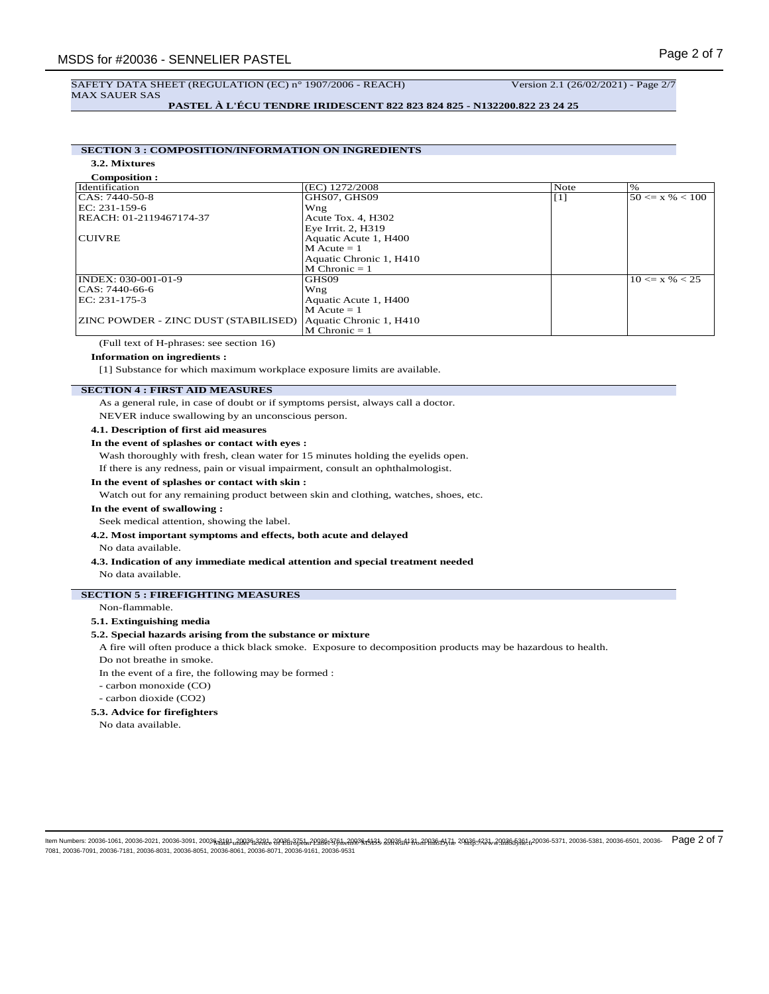# SAFETY DATA SHEET (REGULATION (EC) n° 1907/2006 - REACH) Version 2.1 (26/02/2021) - Page 2/7 MAX SAUER SAS

**PASTEL À L'ÉCU TENDRE IRIDESCENT 822 823 824 825 - N132200.822 23 24 25**

# **SECTION 3 : COMPOSITION/INFORMATION ON INGREDIENTS**

**3.2. Mixtures**

| <b>Composition:</b>                         |                         |                   |                     |
|---------------------------------------------|-------------------------|-------------------|---------------------|
| Identification                              | (EC) 1272/2008          | Note              | $\%$                |
| $ CAS: 7440-50-8$                           | GHS07, GHS09            | $\lceil 1 \rceil$ | $50 \le x \% < 100$ |
| EC: 231-159-6                               | Wng                     |                   |                     |
| REACH: 01-2119467174-37                     | Acute Tox. 4, H302      |                   |                     |
|                                             | Eye Irrit. 2, H319      |                   |                     |
| <b>CUIVRE</b>                               | Aquatic Acute 1, H400   |                   |                     |
|                                             | $M$ Acute = 1           |                   |                     |
|                                             | Aquatic Chronic 1, H410 |                   |                     |
|                                             | $M$ Chronic = 1         |                   |                     |
| INDEX: 030-001-01-9                         | GHS09                   |                   | $10 \le x \% < 25$  |
| CAS: 7440-66-6                              | Wng                     |                   |                     |
| EC: 231-175-3                               | Aquatic Acute 1, H400   |                   |                     |
|                                             | $M$ Acute = 1           |                   |                     |
| <b>ZINC POWDER - ZINC DUST (STABILISED)</b> | Aquatic Chronic 1, H410 |                   |                     |
|                                             | $M$ Chronic = 1         |                   |                     |

(Full text of H-phrases: see section 16)

# **Information on ingredients :**

[1] Substance for which maximum workplace exposure limits are available.

# **SECTION 4 : FIRST AID MEASURES**

As a general rule, in case of doubt or if symptoms persist, always call a doctor.

NEVER induce swallowing by an unconscious person.

#### **4.1. Description of first aid measures**

#### **In the event of splashes or contact with eyes :**

Wash thoroughly with fresh, clean water for 15 minutes holding the eyelids open.

If there is any redness, pain or visual impairment, consult an ophthalmologist.

#### **In the event of splashes or contact with skin :**

Watch out for any remaining product between skin and clothing, watches, shoes, etc.

### **In the event of swallowing :**

Seek medical attention, showing the label.

# **4.2. Most important symptoms and effects, both acute and delayed**

No data available.

**4.3. Indication of any immediate medical attention and special treatment needed** No data available.

# **SECTION 5 : FIREFIGHTING MEASURES**

Non-flammable.

### **5.1. Extinguishing media**

#### **5.2. Special hazards arising from the substance or mixture**

A fire will often produce a thick black smoke. Exposure to decomposition products may be hazardous to health.

Do not breathe in smoke.

In the event of a fire, the following may be formed :

- carbon monoxide (CO)
- carbon dioxide (CO2)

### **5.3. Advice for firefighters**

No data available.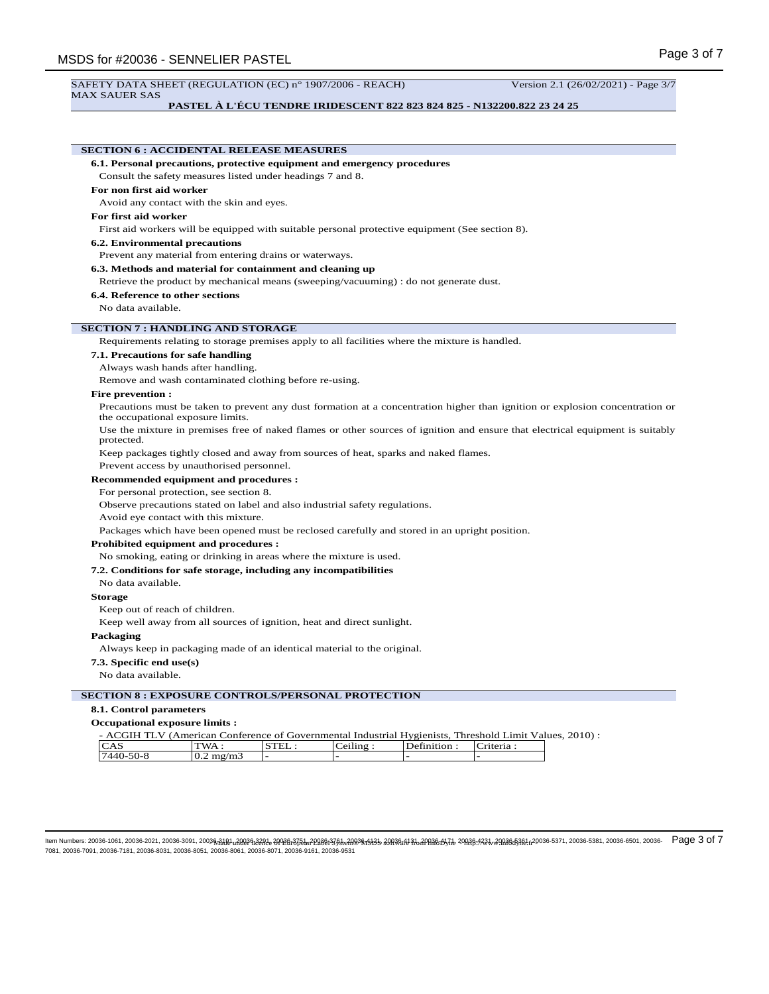#### SAFETY DATA SHEET (REGULATION (EC) n° 1907/2006 - REACH) Version 2.1 (26/02/2021) - Page 3/7 MAX SAUER SAS

### **PASTEL À L'ÉCU TENDRE IRIDESCENT 822 823 824 825 - N132200.822 23 24 25**

# **SECTION 6 : ACCIDENTAL RELEASE MEASURES 6.1. Personal precautions, protective equipment and emergency procedures** Consult the safety measures listed under headings 7 and 8. **For non first aid worker** Avoid any contact with the skin and eyes. **For first aid worker** First aid workers will be equipped with suitable personal protective equipment (See section 8). **6.2. Environmental precautions** Prevent any material from entering drains or waterways. **6.3. Methods and material for containment and cleaning up** Retrieve the product by mechanical means (sweeping/vacuuming) : do not generate dust. **6.4. Reference to other sections** No data available. **SECTION 7 : HANDLING AND STORAGE** Requirements relating to storage premises apply to all facilities where the mixture is handled. **7.1. Precautions for safe handling** Always wash hands after handling. Remove and wash contaminated clothing before re-using. **Fire prevention :** Precautions must be taken to prevent any dust formation at a concentration higher than ignition or explosion concentration or the occupational exposure limits. Use the mixture in premises free of naked flames or other sources of ignition and ensure that electrical equipment is suitably protected. Keep packages tightly closed and away from sources of heat, sparks and naked flames. Prevent access by unauthorised personnel. **Recommended equipment and procedures :** For personal protection, see section 8. Observe precautions stated on label and also industrial safety regulations. Avoid eye contact with this mixture. Packages which have been opened must be reclosed carefully and stored in an upright position. **Prohibited equipment and procedures :** No smoking, eating or drinking in areas where the mixture is used. **7.2. Conditions for safe storage, including any incompatibilities** No data available. **Storage** Keep out of reach of children. Keep well away from all sources of ignition, heat and direct sunlight. **Packaging** Always keep in packaging made of an identical material to the original. **7.3. Specific end use(s)** No data available. **SECTION 8 : EXPOSURE CONTROLS/PERSONAL PROTECTION 8.1. Control parameters Occupational exposure limits :** - ACGIH TLV (American Conference of Governmental Industrial Hygienists, Threshold Limit Values, 2010) : CAS TWA : STEL : Ceiling : Definition : Criteria : 7440-50-8 0.2 mg/m3 - - - -

ltem Numbers: 20036-1061, 20036-2021, 20036-3091, 2003<del>6,AlRU, ARR96,22RL 2/ND8,ATEM 20186,NTAM 2/RAS 20R36,N 20AR6,MTAL 20AR6:423.1.2003645381,n20036-5371, 20036-5381, 20036-5381, 20036-6501, 20036-6501, 20036-6501, 2003</del> 7081, 20036-7091, 20036-7181, 20036-8031, 20036-8051, 20036-8061, 20036-8071, 20036-9161, 20036-9531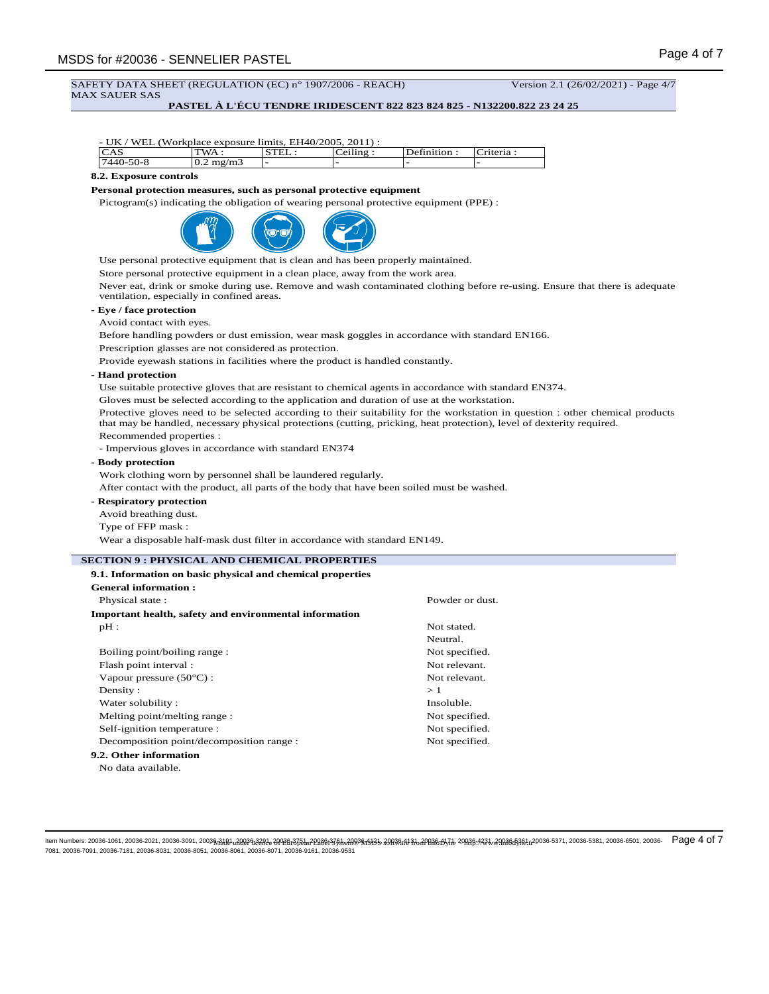SAFETY DATA SHEET (REGULATION (EC) n° 1907/2006 - REACH) Version 2.1 (26/02/2021) - Page 4/7 MAX SAUER SAS

# **PASTEL À L'ÉCU TENDRE IRIDESCENT 822 823 824 825 - N132200.822 23 24 25**

| CAS                                            | - UK / WEL (Workplace exposure limits, EH40/2005, 2011) :<br>TWA:                            | STEL: | Ceiling: | Definition:     | Criteria:                                                                                                                      |  |
|------------------------------------------------|----------------------------------------------------------------------------------------------|-------|----------|-----------------|--------------------------------------------------------------------------------------------------------------------------------|--|
| 7440-50-8                                      | $0.2$ mg/m $3$                                                                               |       |          |                 |                                                                                                                                |  |
| 8.2. Exposure controls                         |                                                                                              |       |          |                 |                                                                                                                                |  |
|                                                | Personal protection measures, such as personal protective equipment                          |       |          |                 |                                                                                                                                |  |
|                                                | Pictogram(s) indicating the obligation of wearing personal protective equipment (PPE) :      |       |          |                 |                                                                                                                                |  |
|                                                |                                                                                              |       |          |                 |                                                                                                                                |  |
|                                                |                                                                                              |       |          |                 |                                                                                                                                |  |
|                                                |                                                                                              |       |          |                 |                                                                                                                                |  |
|                                                | Use personal protective equipment that is clean and has been properly maintained.            |       |          |                 |                                                                                                                                |  |
|                                                | Store personal protective equipment in a clean place, away from the work area.               |       |          |                 |                                                                                                                                |  |
|                                                |                                                                                              |       |          |                 | Never eat, drink or smoke during use. Remove and wash contaminated clothing before re-using. Ensure that there is adequate     |  |
|                                                | ventilation, especially in confined areas.                                                   |       |          |                 |                                                                                                                                |  |
| - Eye / face protection                        |                                                                                              |       |          |                 |                                                                                                                                |  |
| Avoid contact with eyes.                       |                                                                                              |       |          |                 |                                                                                                                                |  |
|                                                |                                                                                              |       |          |                 | Before handling powders or dust emission, wear mask goggles in accordance with standard EN166.                                 |  |
|                                                | Prescription glasses are not considered as protection.                                       |       |          |                 |                                                                                                                                |  |
|                                                | Provide eyewash stations in facilities where the product is handled constantly.              |       |          |                 |                                                                                                                                |  |
| - Hand protection                              |                                                                                              |       |          |                 |                                                                                                                                |  |
|                                                |                                                                                              |       |          |                 | Use suitable protective gloves that are resistant to chemical agents in accordance with standard EN374.                        |  |
|                                                | Gloves must be selected according to the application and duration of use at the workstation. |       |          |                 |                                                                                                                                |  |
|                                                |                                                                                              |       |          |                 | Protective gloves need to be selected according to their suitability for the workstation in question : other chemical products |  |
|                                                |                                                                                              |       |          |                 | that may be handled, necessary physical protections (cutting, pricking, heat protection), level of dexterity required.         |  |
| Recommended properties :                       |                                                                                              |       |          |                 |                                                                                                                                |  |
|                                                | - Impervious gloves in accordance with standard EN374                                        |       |          |                 |                                                                                                                                |  |
| - Body protection                              |                                                                                              |       |          |                 |                                                                                                                                |  |
|                                                | Work clothing worn by personnel shall be laundered regularly.                                |       |          |                 |                                                                                                                                |  |
|                                                | After contact with the product, all parts of the body that have been soiled must be washed.  |       |          |                 |                                                                                                                                |  |
| - Respiratory protection                       |                                                                                              |       |          |                 |                                                                                                                                |  |
| Avoid breathing dust.                          |                                                                                              |       |          |                 |                                                                                                                                |  |
| Type of FFP mask:                              |                                                                                              |       |          |                 |                                                                                                                                |  |
|                                                | Wear a disposable half-mask dust filter in accordance with standard EN149.                   |       |          |                 |                                                                                                                                |  |
|                                                | <b>SECTION 9 : PHYSICAL AND CHEMICAL PROPERTIES</b>                                          |       |          |                 |                                                                                                                                |  |
|                                                | 9.1. Information on basic physical and chemical properties                                   |       |          |                 |                                                                                                                                |  |
| General information:                           |                                                                                              |       |          |                 |                                                                                                                                |  |
| Physical state:                                |                                                                                              |       |          | Powder or dust. |                                                                                                                                |  |
|                                                | Important health, safety and environmental information                                       |       |          |                 |                                                                                                                                |  |
| $pH$ :                                         |                                                                                              |       |          | Not stated.     |                                                                                                                                |  |
|                                                |                                                                                              |       |          | Neutral.        |                                                                                                                                |  |
| Boiling point/boiling range:                   |                                                                                              |       |          | Not specified.  |                                                                                                                                |  |
| Flash point interval :                         |                                                                                              |       |          | Not relevant.   |                                                                                                                                |  |
| Not relevant.<br>Vapour pressure (50°C) :      |                                                                                              |       |          |                 |                                                                                                                                |  |
| Density:<br>>1                                 |                                                                                              |       |          |                 |                                                                                                                                |  |
| Water solubility:<br>Insoluble.                |                                                                                              |       |          |                 |                                                                                                                                |  |
| Melting point/melting range:<br>Not specified. |                                                                                              |       |          |                 |                                                                                                                                |  |
| Self-ignition temperature :<br>Not specified.  |                                                                                              |       |          |                 |                                                                                                                                |  |
|                                                | Decomposition point/decomposition range :                                                    |       |          | Not specified.  |                                                                                                                                |  |
| 9.2. Other information                         |                                                                                              |       |          |                 |                                                                                                                                |  |
|                                                | No data available.                                                                           |       |          |                 |                                                                                                                                |  |

ltem Numbers: 20036-1061, 20036-2021, 20036-3091, 2003<del>6,AlRU, ARRIG:22RL 2/NDB:37EL, 2</del>0986;376, 2.ARD\$ \$45,898,368,484,47AR& \$45,200,20,485,47A 20036-5371, 20036-5381, 20036-5381, 20036-6501, 20036-6501, 20036-6501, 200 7081, 20036-7091, 20036-7181, 20036-8031, 20036-8051, 20036-8061, 20036-8071, 20036-9161, 20036-9531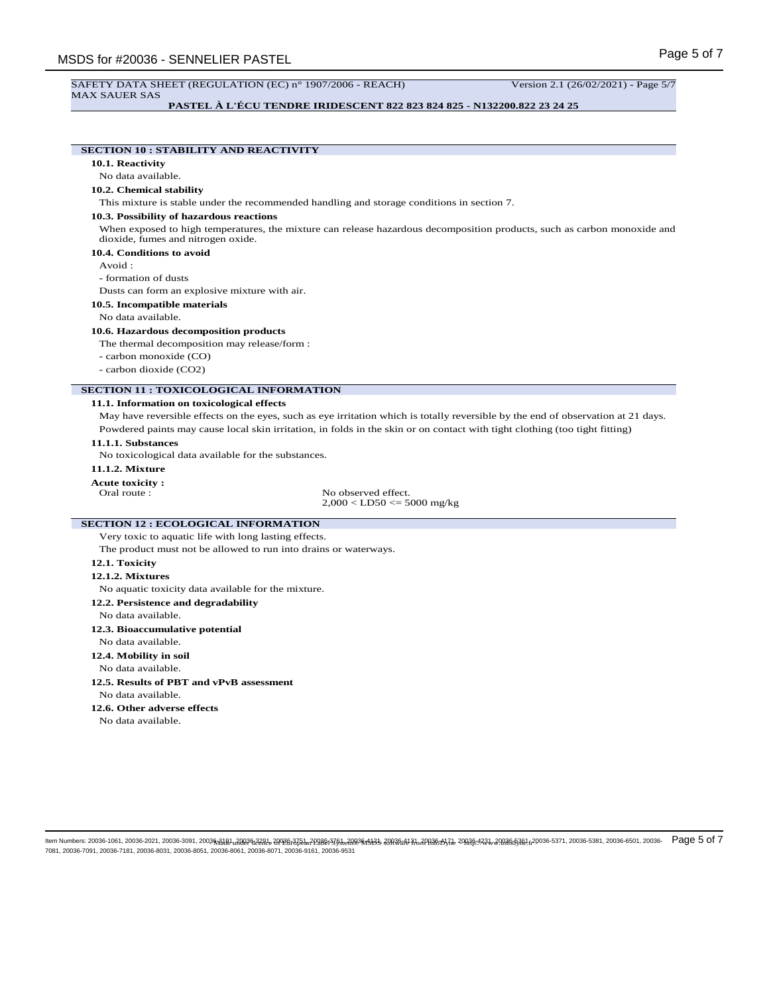#### SAFETY DATA SHEET (REGULATION (EC) n° 1907/2006 - REACH) Version 2.1 (26/02/2021) - Page 5/7 MAX SAUER SAS

# **PASTEL À L'ÉCU TENDRE IRIDESCENT 822 823 824 825 - N132200.822 23 24 25**

# **SECTION 10 : STABILITY AND REACTIVITY**

**10.1. Reactivity**

## No data available.

# **10.2. Chemical stability**

This mixture is stable under the recommended handling and storage conditions in section 7.

### **10.3. Possibility of hazardous reactions**

When exposed to high temperatures, the mixture can release hazardous decomposition products, such as carbon monoxide and dioxide, fumes and nitrogen oxide.

#### **10.4. Conditions to avoid**

Avoid :

- formation of dusts

Dusts can form an explosive mixture with air.

**10.5. Incompatible materials**

#### No data available.

### **10.6. Hazardous decomposition products**

The thermal decomposition may release/form :

- carbon monoxide (CO)
- carbon dioxide (CO2)

### **SECTION 11 : TOXICOLOGICAL INFORMATION**

#### **11.1. Information on toxicological effects**

May have reversible effects on the eyes, such as eye irritation which is totally reversible by the end of observation at 21 days. Powdered paints may cause local skin irritation, in folds in the skin or on contact with tight clothing (too tight fitting)

#### **11.1.1. Substances**

No toxicological data available for the substances.

#### **11.1.2. Mixture**

**Acute toxicity :**

No observed effect.  $2,000 <$  LD50  $\lt = 5000$  mg/kg

# **SECTION 12 : ECOLOGICAL INFORMATION**

Very toxic to aquatic life with long lasting effects.

The product must not be allowed to run into drains or waterways.

### **12.1. Toxicity**

#### **12.1.2. Mixtures**

No aquatic toxicity data available for the mixture.

- **12.2. Persistence and degradability**
- No data available.
- **12.3. Bioaccumulative potential**
- No data available.

# **12.4. Mobility in soil**

No data available.

**12.5. Results of PBT and vPvB assessment** No data available.

# **12.6. Other adverse effects**

No data available.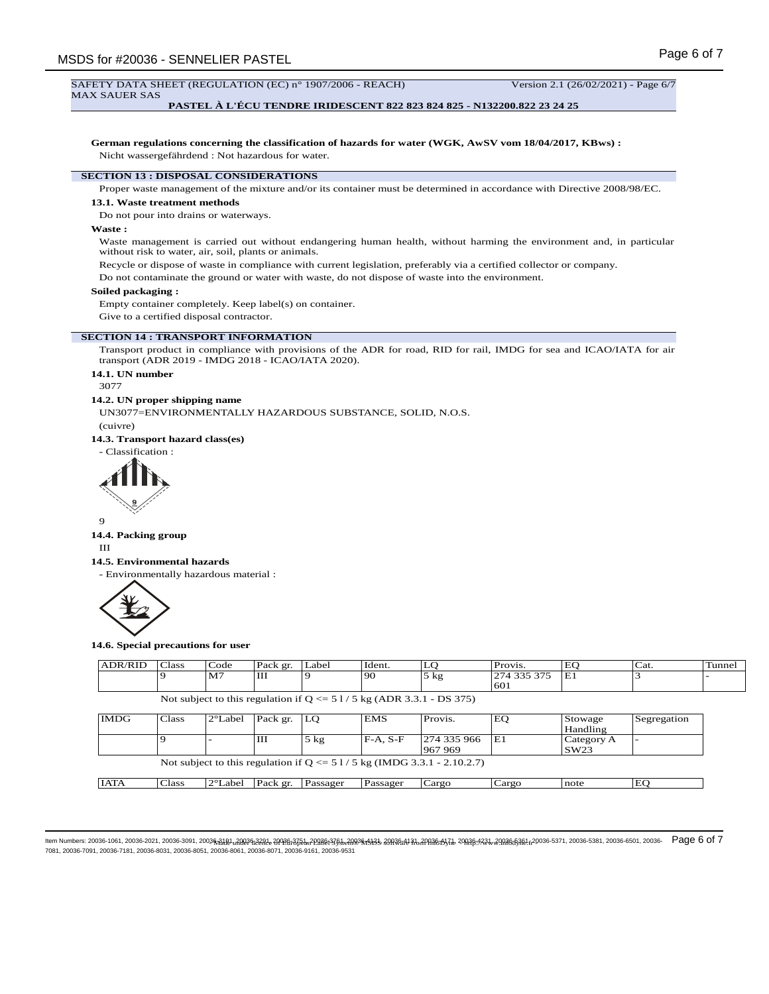#### SAFETY DATA SHEET (REGULATION (EC) n° 1907/2006 - REACH) Version 2.1 (26/02/2021) - Page 6/7 MAX SAUER SAS

#### **PASTEL À L'ÉCU TENDRE IRIDESCENT 822 823 824 825 - N132200.822 23 24 25**

**German regulations concerning the classification of hazards for water (WGK, AwSV vom 18/04/2017, KBws) :** Nicht wassergefährdend : Not hazardous for water.

#### **SECTION 13 : DISPOSAL CONSIDERATIONS**

Proper waste management of the mixture and/or its container must be determined in accordance with Directive 2008/98/EC.

#### **13.1. Waste treatment methods**

Do not pour into drains or waterways.

### **Waste :**

Waste management is carried out without endangering human health, without harming the environment and, in particular without risk to water, air, soil, plants or animals.

Recycle or dispose of waste in compliance with current legislation, preferably via a certified collector or company.

Do not contaminate the ground or water with waste, do not dispose of waste into the environment.

#### **Soiled packaging :**

Empty container completely. Keep label(s) on container.

Give to a certified disposal contractor.

# **SECTION 14 : TRANSPORT INFORMATION**

Transport product in compliance with provisions of the ADR for road, RID for rail, IMDG for sea and ICAO/IATA for air transport (ADR 2019 - IMDG 2018 - ICAO/IATA 2020).

# **14.1. UN number**

3077

# **14.2. UN proper shipping name**

UN3077=ENVIRONMENTALLY HAZARDOUS SUBSTANCE, SOLID, N.O.S. (cuivre)

**14.3. Transport hazard class(es)**





9

### **14.4. Packing group**

III

### **14.5. Environmental hazards**

- Environmentally hazardous material :



**14.6. Special precautions for user**

| <b>ADR/RID</b> | Class        | Code              | Pack gr. | Label          | Ident.     | LO                                                                        | Provis.     | EO         | Cat.        | Tunnel |
|----------------|--------------|-------------------|----------|----------------|------------|---------------------------------------------------------------------------|-------------|------------|-------------|--------|
|                |              | M <sub>7</sub>    | Ш        | 9              | 90         | $5$ kg                                                                    | 274 335 375 | E1         |             |        |
|                |              |                   |          |                |            |                                                                           | 601         |            |             |        |
|                |              |                   |          |                |            | Not subject to this regulation if $Q \le 51/5$ kg (ADR 3.3.1 - DS 375)    |             |            |             |        |
|                |              |                   |          |                |            |                                                                           |             |            |             |        |
| <b>IMDG</b>    | <b>Class</b> | $2^{\circ}$ Label | Pack gr. | LO             | <b>EMS</b> | Provis.                                                                   | EQ          | Stowage    | Segregation |        |
|                |              |                   |          |                |            |                                                                           |             | Handling   |             |        |
|                |              |                   | Ш        | $5 \text{ kg}$ | $F-A. S-F$ | 274 335 966                                                               | lE1         | Category A |             |        |
|                |              |                   |          |                |            | 967 969                                                                   |             | SW23       |             |        |
|                |              |                   |          |                |            | Not subject to this regulation if $Q \le 51/5$ kg (IMDG 3.3.1 - 2.10.2.7) |             |            |             |        |
|                |              |                   |          |                |            |                                                                           |             |            |             |        |
| <b>IATA</b>    | <b>Class</b> | $2^{\circ}$ Label | Pack gr. | Passager       | Passager   | Cargo                                                                     | Cargo       | note       | EO          |        |
|                |              |                   |          |                |            |                                                                           |             |            |             |        |

ltem Numbers: 20036-1061, 20036-2021, 20036-3091, 2003<del>6,AlRU, ARR96,22RL 2/ND8,ATEM 20186,NTAM 2/RAS 20R36,N 20AR6,MTAL 20AR6:423.1.2003645381,n20036-5371, 20036-5381, 20036-5381, 20036-6501, 20036-6501, 20036-691, 20036</del> 7081, 20036-7091, 20036-7181, 20036-8031, 20036-8051, 20036-8061, 20036-8071, 20036-9161, 20036-9531